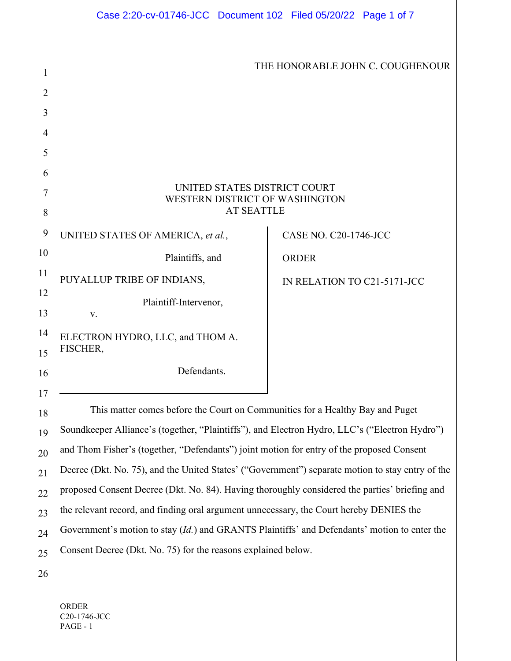|                | Case 2:20-cv-01746-JCC Document 102 Filed 05/20/22 Page 1 of 7                                   |                             |
|----------------|--------------------------------------------------------------------------------------------------|-----------------------------|
|                |                                                                                                  |                             |
| 1              | THE HONORABLE JOHN C. COUGHENOUR                                                                 |                             |
| $\overline{2}$ |                                                                                                  |                             |
| 3              |                                                                                                  |                             |
| 4              |                                                                                                  |                             |
| 5              |                                                                                                  |                             |
| 6              |                                                                                                  |                             |
| 7              | UNITED STATES DISTRICT COURT<br>WESTERN DISTRICT OF WASHINGTON                                   |                             |
| 8              | <b>AT SEATTLE</b>                                                                                |                             |
| 9              | UNITED STATES OF AMERICA, et al.,                                                                | CASE NO. C20-1746-JCC       |
| 10             | Plaintiffs, and                                                                                  | <b>ORDER</b>                |
| 11             | PUYALLUP TRIBE OF INDIANS,                                                                       | IN RELATION TO C21-5171-JCC |
| 12             | Plaintiff-Intervenor,                                                                            |                             |
| 13             | V.                                                                                               |                             |
| 14             | ELECTRON HYDRO, LLC, and THOM A.<br>FISCHER,                                                     |                             |
| 15             | Defendants.                                                                                      |                             |
| 16<br>17       |                                                                                                  |                             |
| 18             | This matter comes before the Court on Communities for a Healthy Bay and Puget                    |                             |
| 19             | Soundkeeper Alliance's (together, "Plaintiffs"), and Electron Hydro, LLC's ("Electron Hydro")    |                             |
| 20             | and Thom Fisher's (together, "Defendants") joint motion for entry of the proposed Consent        |                             |
| 21             | Decree (Dkt. No. 75), and the United States' ("Government") separate motion to stay entry of the |                             |
| 22             | proposed Consent Decree (Dkt. No. 84). Having thoroughly considered the parties' briefing and    |                             |
| 23             | the relevant record, and finding oral argument unnecessary, the Court hereby DENIES the          |                             |
| 24             | Government's motion to stay (Id.) and GRANTS Plaintiffs' and Defendants' motion to enter the     |                             |
| 25             | Consent Decree (Dkt. No. 75) for the reasons explained below.                                    |                             |
| 26             |                                                                                                  |                             |

ORDER C20-1746-JCC PAGE - 1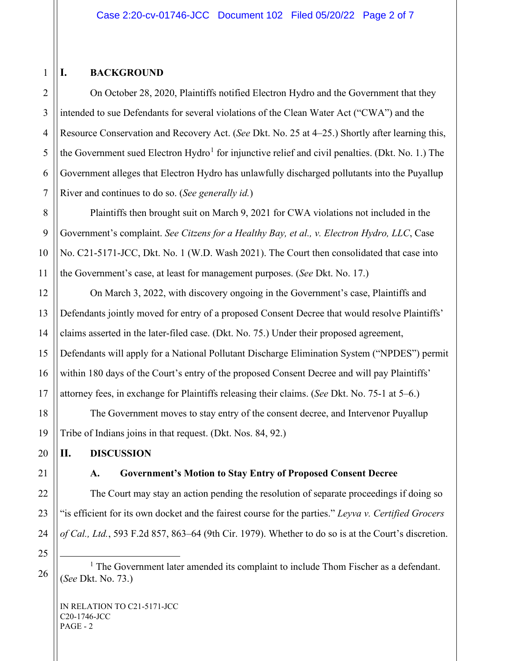## **I. BACKGROUND**

On October 28, 2020, Plaintiffs notified Electron Hydro and the Government that they intended to sue Defendants for several violations of the Clean Water Act ("CWA") and the Resource Conservation and Recovery Act. (*See* Dkt. No. 25 at 4–25.) Shortly after learning this, the Government sued Electron Hydro<sup>[1](#page-1-0)</sup> for injunctive relief and civil penalties. (Dkt. No. 1.) The Government alleges that Electron Hydro has unlawfully discharged pollutants into the Puyallup River and continues to do so. (*See generally id.*)

Plaintiffs then brought suit on March 9, 2021 for CWA violations not included in the Government's complaint. *See Citzens for a Healthy Bay, et al., v. Electron Hydro, LLC*, Case No. C21-5171-JCC, Dkt. No. 1 (W.D. Wash 2021). The Court then consolidated that case into the Government's case, at least for management purposes. (*See* Dkt. No. 17.)

On March 3, 2022, with discovery ongoing in the Government's case, Plaintiffs and Defendants jointly moved for entry of a proposed Consent Decree that would resolve Plaintiffs' claims asserted in the later-filed case. (Dkt. No. 75.) Under their proposed agreement, Defendants will apply for a National Pollutant Discharge Elimination System ("NPDES") permit within 180 days of the Court's entry of the proposed Consent Decree and will pay Plaintiffs' attorney fees, in exchange for Plaintiffs releasing their claims. (*See* Dkt. No. 75-1 at 5–6.)

The Government moves to stay entry of the consent decree, and Intervenor Puyallup Tribe of Indians joins in that request. (Dkt. Nos. 84, 92.)

**II. DISCUSSION**

## **A. Government's Motion to Stay Entry of Proposed Consent Decree**

The Court may stay an action pending the resolution of separate proceedings if doing so "is efficient for its own docket and the fairest course for the parties." *Leyva v. Certified Grocers of Cal., Ltd.*, 593 F.2d 857, 863–64 (9th Cir. 1979). Whether to do so is at the Court's discretion.

<span id="page-1-0"></span><sup>1</sup> The Government later amended its complaint to include Thom Fischer as a defendant. (*See* Dkt. No. 73.)

1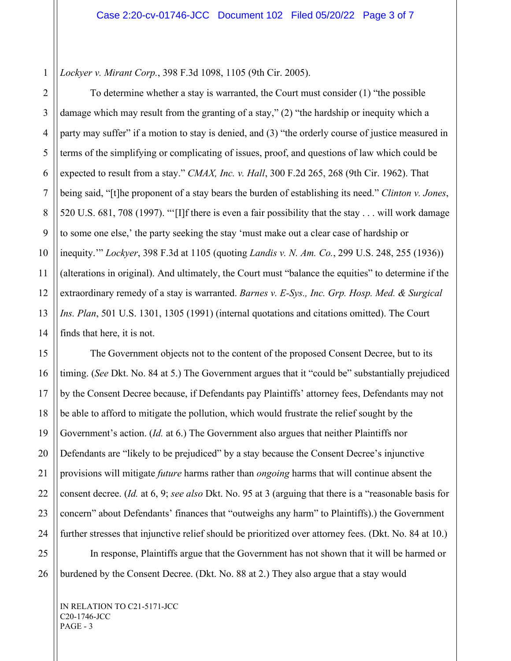*Lockyer v. Mirant Corp.*, 398 F.3d 1098, 1105 (9th Cir. 2005).

To determine whether a stay is warranted, the Court must consider (1) "the possible damage which may result from the granting of a stay," (2) "the hardship or inequity which a party may suffer" if a motion to stay is denied, and (3) "the orderly course of justice measured in terms of the simplifying or complicating of issues, proof, and questions of law which could be expected to result from a stay." *CMAX, Inc. v. Hall*, 300 F.2d 265, 268 (9th Cir. 1962). That being said, "[t]he proponent of a stay bears the burden of establishing its need." *Clinton v. Jones*, 520 U.S. 681, 708 (1997). "'[I]f there is even a fair possibility that the stay . . . will work damage to some one else,' the party seeking the stay 'must make out a clear case of hardship or inequity.'" *Lockyer*, 398 F.3d at 1105 (quoting *Landis v. N. Am. Co.*, 299 U.S. 248, 255 (1936)) (alterations in original). And ultimately, the Court must "balance the equities" to determine if the extraordinary remedy of a stay is warranted. *Barnes v. E-Sys., Inc. Grp. Hosp. Med. & Surgical Ins. Plan*, 501 U.S. 1301, 1305 (1991) (internal quotations and citations omitted). The Court finds that here, it is not.

The Government objects not to the content of the proposed Consent Decree, but to its timing. (*See* Dkt. No. 84 at 5.) The Government argues that it "could be" substantially prejudiced by the Consent Decree because, if Defendants pay Plaintiffs' attorney fees, Defendants may not be able to afford to mitigate the pollution, which would frustrate the relief sought by the Government's action. (*Id.* at 6.) The Government also argues that neither Plaintiffs nor Defendants are "likely to be prejudiced" by a stay because the Consent Decree's injunctive provisions will mitigate *future* harms rather than *ongoing* harms that will continue absent the consent decree. (*Id.* at 6, 9; *see also* Dkt. No. 95 at 3 (arguing that there is a "reasonable basis for concern" about Defendants' finances that "outweighs any harm" to Plaintiffs).) the Government further stresses that injunctive relief should be prioritized over attorney fees. (Dkt. No. 84 at 10.) In response, Plaintiffs argue that the Government has not shown that it will be harmed or

burdened by the Consent Decree. (Dkt. No. 88 at 2.) They also argue that a stay would

IN RELATION TO C21-5171-JCC C20-1746-JCC PAGE - 3

1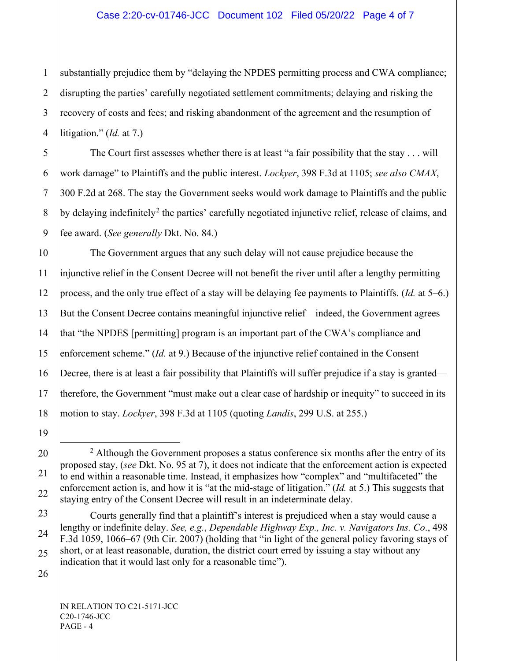1 2 3 substantially prejudice them by "delaying the NPDES permitting process and CWA compliance; disrupting the parties' carefully negotiated settlement commitments; delaying and risking the recovery of costs and fees; and risking abandonment of the agreement and the resumption of litigation." (*Id.* at 7.)

The Court first assesses whether there is at least "a fair possibility that the stay . . . will work damage" to Plaintiffs and the public interest. *Lockyer*, 398 F.3d at 1105; *see also CMAX*, 300 F.2d at 268. The stay the Government seeks would work damage to Plaintiffs and the public by delaying indefinitely<sup>[2](#page-3-0)</sup> the parties' carefully negotiated injunctive relief, release of claims, and fee award. (*See generally* Dkt. No. 84.)

The Government argues that any such delay will not cause prejudice because the injunctive relief in the Consent Decree will not benefit the river until after a lengthy permitting process, and the only true effect of a stay will be delaying fee payments to Plaintiffs. (*Id.* at 5–6.) But the Consent Decree contains meaningful injunctive relief—indeed, the Government agrees that "the NPDES [permitting] program is an important part of the CWA's compliance and enforcement scheme." (*Id.* at 9.) Because of the injunctive relief contained in the Consent Decree, there is at least a fair possibility that Plaintiffs will suffer prejudice if a stay is granted therefore, the Government "must make out a clear case of hardship or inequity" to succeed in its motion to stay. *Lockyer*, 398 F.3d at 1105 (quoting *Landis*, 299 U.S. at 255.)

<sup>14</sup> 15 16 17 18 19 20 21 22 23 24 25

<span id="page-3-0"></span> $2$  Although the Government proposes a status conference six months after the entry of its proposed stay, (*see* Dkt. No. 95 at 7), it does not indicate that the enforcement action is expected to end within a reasonable time. Instead, it emphasizes how "complex" and "multifaceted" the enforcement action is, and how it is "at the mid-stage of litigation." (*Id.* at 5.) This suggests that staying entry of the Consent Decree will result in an indeterminate delay.

Courts generally find that a plaintiff's interest is prejudiced when a stay would cause a lengthy or indefinite delay. *See, e.g.*, *Dependable Highway Exp., Inc. v. Navigators Ins. Co*., 498 F.3d 1059, 1066–67 (9th Cir. 2007) (holding that "in light of the general policy favoring stays of short, or at least reasonable, duration, the district court erred by issuing a stay without any indication that it would last only for a reasonable time").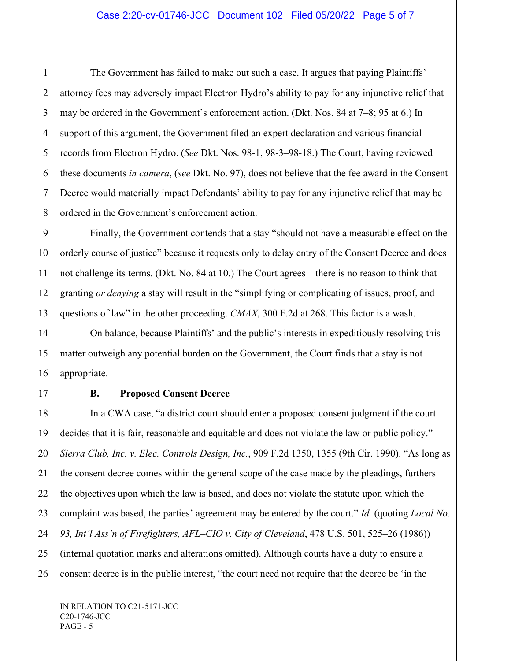The Government has failed to make out such a case. It argues that paying Plaintiffs' attorney fees may adversely impact Electron Hydro's ability to pay for any injunctive relief that may be ordered in the Government's enforcement action. (Dkt. Nos. 84 at 7–8; 95 at 6.) In support of this argument, the Government filed an expert declaration and various financial records from Electron Hydro. (*See* Dkt. Nos. 98-1, 98-3–98-18.) The Court, having reviewed these documents *in camera*, (*see* Dkt. No. 97), does not believe that the fee award in the Consent Decree would materially impact Defendants' ability to pay for any injunctive relief that may be ordered in the Government's enforcement action.

Finally, the Government contends that a stay "should not have a measurable effect on the orderly course of justice" because it requests only to delay entry of the Consent Decree and does not challenge its terms. (Dkt. No. 84 at 10.) The Court agrees—there is no reason to think that granting *or denying* a stay will result in the "simplifying or complicating of issues, proof, and questions of law" in the other proceeding. *CMAX*, 300 F.2d at 268. This factor is a wash.

On balance, because Plaintiffs' and the public's interests in expeditiously resolving this matter outweigh any potential burden on the Government, the Court finds that a stay is not appropriate.

## **B. Proposed Consent Decree**

In a CWA case, "a district court should enter a proposed consent judgment if the court decides that it is fair, reasonable and equitable and does not violate the law or public policy." *Sierra Club, Inc. v. Elec. Controls Design, Inc.*, 909 F.2d 1350, 1355 (9th Cir. 1990). "As long as the consent decree comes within the general scope of the case made by the pleadings, furthers the objectives upon which the law is based, and does not violate the statute upon which the complaint was based, the parties' agreement may be entered by the court." *Id.* (quoting *Local No. 93, Int'l Ass'n of Firefighters, AFL–CIO v. City of Cleveland*, 478 U.S. 501, 525–26 (1986)) (internal quotation marks and alterations omitted). Although courts have a duty to ensure a consent decree is in the public interest, "the court need not require that the decree be 'in the

IN RELATION TO C21-5171-JCC C20-1746-JCC PAGE - 5

1

2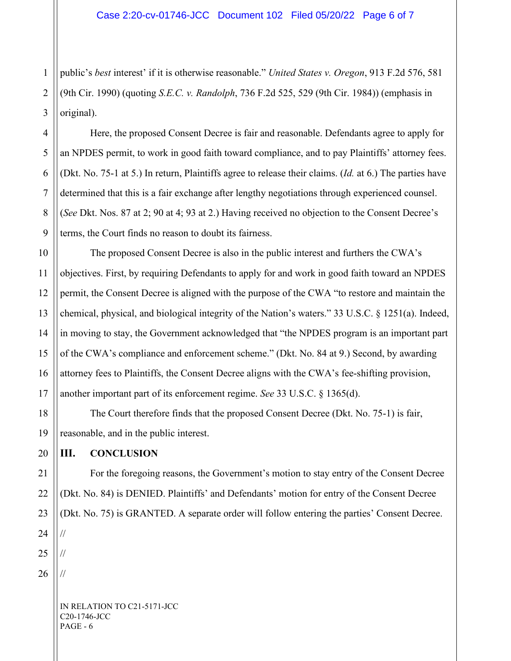1 2 public's *best* interest' if it is otherwise reasonable." *United States v. Oregon*, 913 F.2d 576, 581 (9th Cir. 1990) (quoting *S.E.C. v. Randolph*, 736 F.2d 525, 529 (9th Cir. 1984)) (emphasis in original).

Here, the proposed Consent Decree is fair and reasonable. Defendants agree to apply for an NPDES permit, to work in good faith toward compliance, and to pay Plaintiffs' attorney fees. (Dkt. No. 75-1 at 5.) In return, Plaintiffs agree to release their claims. (*Id.* at 6.) The parties have determined that this is a fair exchange after lengthy negotiations through experienced counsel. (*See* Dkt. Nos. 87 at 2; 90 at 4; 93 at 2.) Having received no objection to the Consent Decree's terms, the Court finds no reason to doubt its fairness.

The proposed Consent Decree is also in the public interest and furthers the CWA's objectives. First, by requiring Defendants to apply for and work in good faith toward an NPDES permit, the Consent Decree is aligned with the purpose of the CWA "to restore and maintain the chemical, physical, and biological integrity of the Nation's waters." 33 U.S.C. § 1251(a). Indeed, in moving to stay, the Government acknowledged that "the NPDES program is an important part of the CWA's compliance and enforcement scheme." (Dkt. No. 84 at 9.) Second, by awarding attorney fees to Plaintiffs, the Consent Decree aligns with the CWA's fee-shifting provision, another important part of its enforcement regime. *See* 33 U.S.C. § 1365(d).

The Court therefore finds that the proposed Consent Decree (Dkt. No. 75-1) is fair, reasonable, and in the public interest.

## **III. CONCLUSION**

For the foregoing reasons, the Government's motion to stay entry of the Consent Decree (Dkt. No. 84) is DENIED. Plaintiffs' and Defendants' motion for entry of the Consent Decree (Dkt. No. 75) is GRANTED. A separate order will follow entering the parties' Consent Decree. //

//

//

IN RELATION TO C21-5171-JCC C20-1746-JCC PAGE - 6